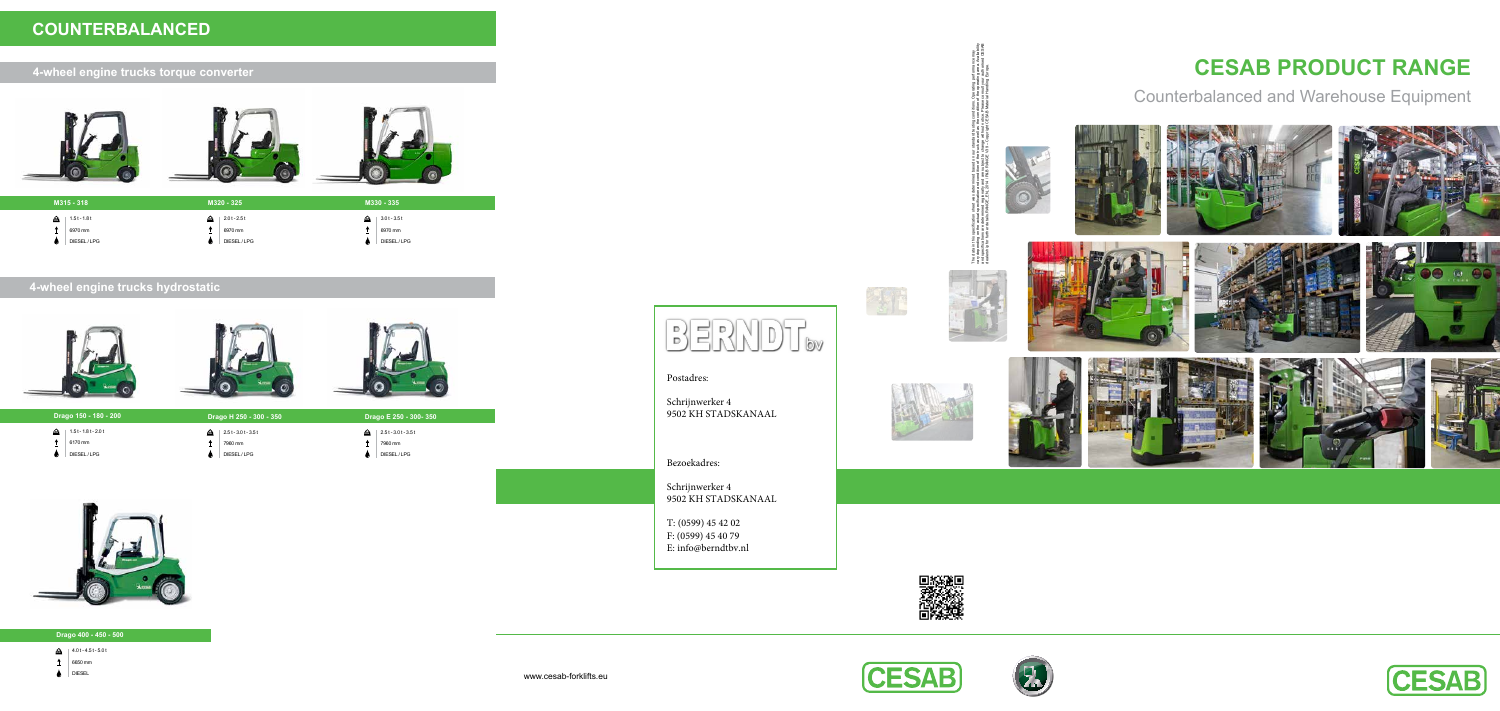# **CESAB PRODUCT RANGE**

Counterbalanced and Warehouse Equipment

## **4-wheel engine trucks hydrostatic**







## **4-wheel engine trucks torque converter**



# **COUNTERBALANCED**











- 4.0 t 4.5 t 5.0 t **KG**
- $\uparrow$  6650 mm
- $\bullet$  DIESEL

|    | M315 - 318                             |                             | M320 - 325                             |     | M330 - 335                             |
|----|----------------------------------------|-----------------------------|----------------------------------------|-----|----------------------------------------|
| ke | $1.5t - 1.8t$<br>6970 mm<br>DIESEL/LPG | RG <sup>1</sup><br><u>—</u> | $2.0t - 2.5t$<br>6970 mm<br>DIESEL/LPG | ke) | $3.0t - 3.5t$<br>6970 mm<br>DIESEL/LPG |

| Drago 150 - 180 - 200     | Drago H 250 - 300 - 350    |    |
|---------------------------|----------------------------|----|
| ₷<br>$1.5t - 1.8t - 2.0t$ | $2.5t - 3.0t - 3.5t$<br>f. | fæ |

 $\uparrow$  6170 mm

**Drago 150 -**

 $\bigcirc$  DIESEL/LPG

- $\uparrow$  7960 mm
- $\bigcirc$  DIESEL/LPG



 $\uparrow$  7960 mm

 $\bigcirc$  DIESEL/LPG



### **Drago 400 - 450 - 500**

Postadres:

Schrijnwerker 4 9502 KH STADSKANAAL

Bezoekadres:

Schrijnwerker 4 9502 KH STADSKANAAL

T: (0599) 45 42 02 F: (0599) 45 40 79 E: info@berndtbv.nl